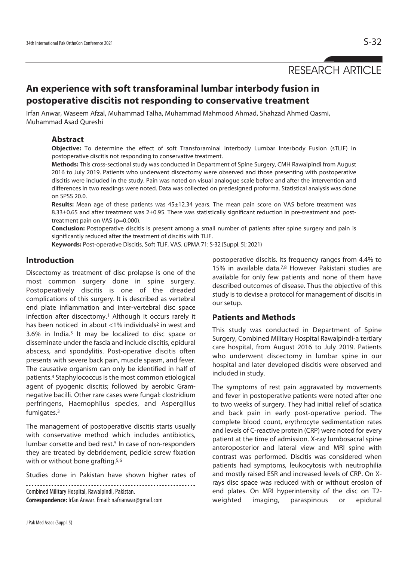# RESEARCH ARTICLE

# **An experience with soft transforaminal lumbar interbody fusion in postoperative discitis not responding to conservative treatment**

Irfan Anwar, Waseem Afzal, Muhammad Talha, Muhammad Mahmood Ahmad, Shahzad Ahmed Qasmi, Muhammad Asad Qureshi

# **Abstract**

**Objective:** To determine the effect of soft Transforaminal Interbody Lumbar Interbody Fusion (sTLIF) in postoperative discitis not responding to conservative treatment.

**Methods:** This cross-sectional study was conducted in Department of Spine Surgery, CMH Rawalpindi from August 2016 to July 2019. Patients who underwent discectomy were observed and those presenting with postoperative discitis were included in the study. Pain was noted on visual analogue scale before and after the intervention and differences in two readings were noted. Data was collected on predesigned proforma. Statistical analysis was done on SPSS 20.0.

**Results:** Mean age of these patients was 45±12.34 years. The mean pain score on VAS before treatment was 8.33±0.65 and after treatment was 2±0.95. There was statistically significant reduction in pre-treatment and posttreatment pain on VAS (p=0.000).

**Conclusion:** Postoperative discitis is present among a small number of patients after spine surgery and pain is significantly reduced after the treatment of discitis with TLIF.

**Keywords:** Post-operative Discitis, Soft TLIF, VAS. (JPMA 71: S-32 [Suppl. 5]; 2021)

# **Introduction**

Discectomy as treatment of disc prolapse is one of the most common surgery done in spine surgery. Postoperatively discitis is one of the dreaded complications of this surgery. It is described as vertebral end plate inflammation and inter-vertebral disc space infection after discectomy.1 Although it occurs rarely it has been noticed in about <1% individuals<sup>2</sup> in west and 3.6% in India.3 It may be localized to disc space or disseminate under the fascia and include discitis, epidural abscess, and spondylitis. Post-operative discitis often presents with severe back pain, muscle spasm, and fever. The causative organism can only be identified in half of patients.4 Staphylococcus is the most common etiological agent of pyogenic discitis; followed by aerobic Gramnegative bacilli. Other rare cases were fungal: clostridium perfringens, Haemophilus species, and Aspergillus fumigates.3

The management of postoperative discitis starts usually with conservative method which includes antibiotics, lumbar corsette and bed rest.<sup>5</sup> In case of non-responders they are treated by debridement, pedicle screw fixation with or without bone grafting.<sup>5,6</sup>

Studies done in Pakistan have shown higher rates of

Combined Military Hospital, Rawalpindi, Pakistan. **Correspondence:** Irfan Anwar. Email: nafrianwar@gmail.com

15% in available data.7,8 However Pakistani studies are available for only few patients and none of them have described outcomes of disease. Thus the objective of this study is to devise a protocol for management of discitis in our setup. **Patients and Methods** 

postoperative discitis. Its frequency ranges from 4.4% to

This study was conducted in Department of Spine Surgery, Combined Military Hospital Rawalpindi-a tertiary care hospital, from August 2016 to July 2019. Patients who underwent discectomy in lumbar spine in our hospital and later developed discitis were observed and included in study.

The symptoms of rest pain aggravated by movements and fever in postoperative patients were noted after one to two weeks of surgery. They had initial relief of sciatica and back pain in early post-operative period. The complete blood count, erythrocyte sedimentation rates and levels of C-reactive protein (CRP) were noted for every patient at the time of admission. X-ray lumbosacral spine anteroposterior and lateral view and MRI spine with contrast was performed. Discitis was considered when patients had symptoms, leukocytosis with neutrophilia and mostly raised ESR and increased levels of CRP. On Xrays disc space was reduced with or without erosion of end plates. On MRI hyperintensity of the disc on T2 weighted imaging, paraspinous or epidural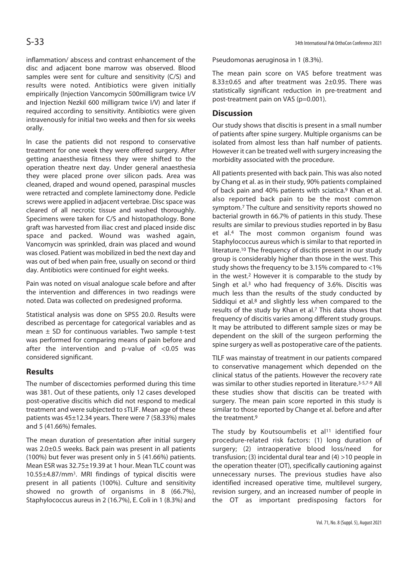inflammation/ abscess and contrast enhancement of the disc and adjacent bone marrow was observed. Blood samples were sent for culture and sensitivity (C/S) and results were noted. Antibiotics were given initially empirically (Injection Vancomycin 500milligram twice I/V and Injection Nezkil 600 milligram twice I/V) and later if required according to sensitivity. Antibiotics were given intravenously for initial two weeks and then for six weeks orally.

In case the patients did not respond to conservative treatment for one week they were offered surgery. After getting anaesthesia fitness they were shifted to the operation theatre next day. Under general anaesthesia they were placed prone over silicon pads. Area was cleaned, draped and wound opened, paraspinal muscles were retracted and complete laminectomy done. Pedicle screws were applied in adjacent vertebrae. Disc space was cleared of all necrotic tissue and washed thoroughly. Specimens were taken for C/S and histopathology. Bone graft was harvested from iliac crest and placed inside disc space and packed. Wound was washed again, Vancomycin was sprinkled, drain was placed and wound was closed. Patient was mobilized in bed the next day and was out of bed when pain free, usually on second or third day. Antibiotics were continued for eight weeks.

Pain was noted on visual analogue scale before and after the intervention and differences in two readings were noted. Data was collected on predesigned proforma.

Statistical analysis was done on SPSS 20.0. Results were described as percentage for categorical variables and as mean  $\pm$  SD for continuous variables. Two sample t-test was performed for comparing means of pain before and after the intervention and p-value of <0.05 was considered significant.

# **Results**

The number of discectomies performed during this time was 381. Out of these patients, only 12 cases developed post-operative discitis which did not respond to medical treatment and were subjected to sTLIF. Mean age of these patients was 45±12.34 years. There were 7 (58.33%) males and 5 (41.66%) females.

The mean duration of presentation after initial surgery was 2.0±0.5 weeks. Back pain was present in all patients (100%) but fever was present only in 5 (41.66%) patients. Mean ESR was 32.75±19.39 at 1 hour. Mean TLC count was 10.55±4.87/mm<sup>3</sup>. MRI findings of typical discitis were present in all patients (100%). Culture and sensitivity showed no growth of organisms in 8 (66.7%), Staphylococcus aureus in 2 (16.7%), E. Coli in 1 (8.3%) and

Pseudomonas aeruginosa in 1 (8.3%).

The mean pain score on VAS before treatment was 8.33±0.65 and after treatment was 2±0.95. There was statistically significant reduction in pre-treatment and post-treatment pain on VAS (p=0.001).

### **Discussion**

Our study shows that discitis is present in a small number of patients after spine surgery. Multiple organisms can be isolated from almost less than half number of patients. However it can be treated well with surgery increasing the morbidity associated with the procedure.

All patients presented with back pain. This was also noted by Chang et al. as in their study, 90% patients complained of back pain and 40% patients with sciatica.9 Khan et al. also reported back pain to be the most common symptom.7 The culture and sensitivity reports showed no bacterial growth in 66.7% of patients in this study. These results are similar to previous studies reported in by Basu et al.4 The most common organism found was Staphylococcus aureus which is similar to that reported in literature.10 The frequency of discitis present in our study group is considerably higher than those in the west. This study shows the frequency to be 3.15% compared to <1% in the west.2 However it is comparable to the study by Singh et al.3 who had frequency of 3.6%. Discitis was much less than the results of the study conducted by Siddiqui et al.8 and slightly less when compared to the results of the study by Khan et al.7 This data shows that frequency of discitis varies among different study groups. It may be attributed to different sample sizes or may be dependent on the skill of the surgeon performing the spine surgery as well as postoperative care of the patients.

TILF was mainstay of treatment in our patients compared to conservative management which depended on the clinical status of the patients. However the recovery rate was similar to other studies reported in literature.3-5,7-9 All these studies show that discitis can be treated with surgery. The mean pain score reported in this study is similar to those reported by Change et al. before and after the treatment.9

The study by Koutsoumbelis et al<sup>11</sup> identified four procedure-related risk factors: (1) long duration of surgery; (2) intraoperative blood loss/need for transfusion; (3) incidental dural tear and (4) >10 people in the operation theater (OT), specifically cautioning against unnecessary nurses. The previous studies have also identified increased operative time, multilevel surgery, revision surgery, and an increased number of people in the OT as important predisposing factors for